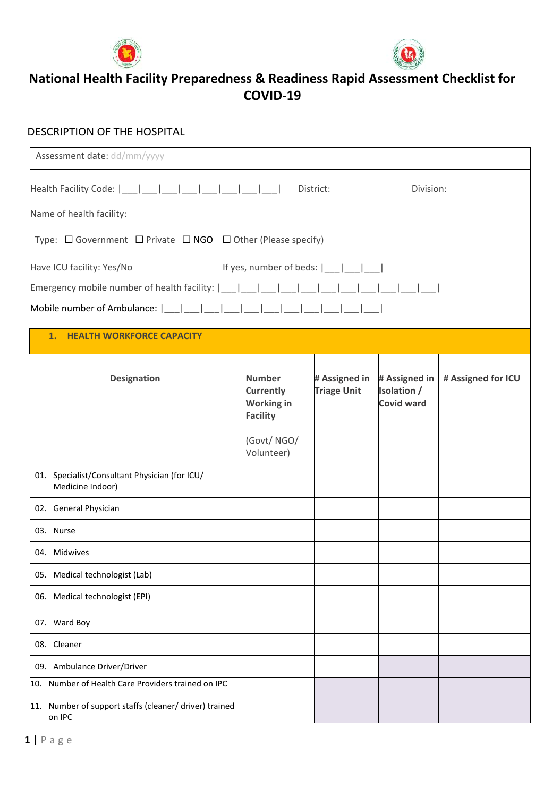



#### DESCRIPTION OF THE HOSPITAL

| Assessment date: dd/mm/yyyy                                                     |                                                                    |                                     |                                                   |                    |
|---------------------------------------------------------------------------------|--------------------------------------------------------------------|-------------------------------------|---------------------------------------------------|--------------------|
| Health Facility Code:  ___ ___ ___ ___ ___ ___ ___ ___                          |                                                                    | District:                           | Division:                                         |                    |
| Name of health facility:                                                        |                                                                    |                                     |                                                   |                    |
| Type: $\Box$ Government $\Box$ Private $\Box$ NGO $\Box$ Other (Please specify) |                                                                    |                                     |                                                   |                    |
| Have ICU facility: Yes/No                                                       | If yes, number of beds: $ \_\_ $                                   |                                     |                                                   |                    |
| Emergency mobile number of health facility: $ $ __   __                         |                                                                    |                                     |                                                   |                    |
| Mobile number of Ambulance:                                                     |                                                                    |                                     |                                                   |                    |
| 1. HEALTH WORKFORCE CAPACITY                                                    |                                                                    |                                     |                                                   |                    |
| Designation                                                                     | <b>Number</b><br>Currently<br><b>Working in</b><br><b>Facility</b> | # Assigned in<br><b>Triage Unit</b> | # Assigned in<br>Isolation /<br><b>Covid ward</b> | # Assigned for ICU |
|                                                                                 | (Govt/NGO/<br>Volunteer)                                           |                                     |                                                   |                    |
| 01. Specialist/Consultant Physician (for ICU/<br>Medicine Indoor)               |                                                                    |                                     |                                                   |                    |
| 02. General Physician                                                           |                                                                    |                                     |                                                   |                    |
| 03. Nurse                                                                       |                                                                    |                                     |                                                   |                    |
| 04. Midwives                                                                    |                                                                    |                                     |                                                   |                    |
| 05. Medical technologist (Lab)                                                  |                                                                    |                                     |                                                   |                    |
| 06. Medical technologist (EPI)                                                  |                                                                    |                                     |                                                   |                    |
| 07. Ward Boy                                                                    |                                                                    |                                     |                                                   |                    |
| 08. Cleaner                                                                     |                                                                    |                                     |                                                   |                    |
| 09. Ambulance Driver/Driver                                                     |                                                                    |                                     |                                                   |                    |
| 10. Number of Health Care Providers trained on IPC                              |                                                                    |                                     |                                                   |                    |
| 11. Number of support staffs (cleaner/ driver) trained<br>on IPC                |                                                                    |                                     |                                                   |                    |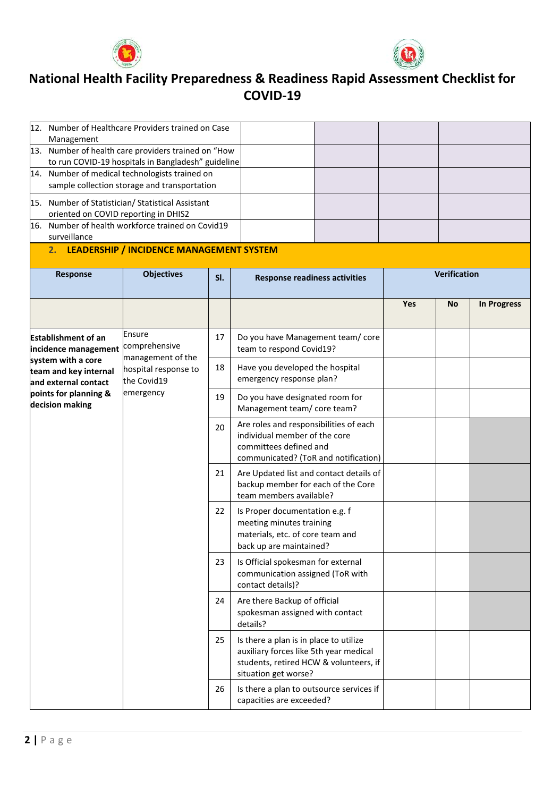



|                                                                                                           | 12. Number of Healthcare Providers trained on Case                    |     |                                                                                                                                                    |     |              |                    |                                                                                                                                           |  |  |  |
|-----------------------------------------------------------------------------------------------------------|-----------------------------------------------------------------------|-----|----------------------------------------------------------------------------------------------------------------------------------------------------|-----|--------------|--------------------|-------------------------------------------------------------------------------------------------------------------------------------------|--|--|--|
| Management                                                                                                |                                                                       |     |                                                                                                                                                    |     |              |                    |                                                                                                                                           |  |  |  |
| 13. Number of health care providers trained on "How<br>to run COVID-19 hospitals in Bangladesh" guideline |                                                                       |     |                                                                                                                                                    |     |              |                    |                                                                                                                                           |  |  |  |
|                                                                                                           | 14. Number of medical technologists trained on                        |     |                                                                                                                                                    |     |              |                    |                                                                                                                                           |  |  |  |
|                                                                                                           | sample collection storage and transportation                          |     |                                                                                                                                                    |     |              |                    |                                                                                                                                           |  |  |  |
| oriented on COVID reporting in DHIS2                                                                      | 15. Number of Statistician/ Statistical Assistant                     |     |                                                                                                                                                    |     |              |                    |                                                                                                                                           |  |  |  |
|                                                                                                           | 16. Number of health workforce trained on Covid19                     |     |                                                                                                                                                    |     |              |                    |                                                                                                                                           |  |  |  |
| surveillance                                                                                              |                                                                       |     |                                                                                                                                                    |     |              |                    |                                                                                                                                           |  |  |  |
|                                                                                                           | 2. LEADERSHIP / INCIDENCE MANAGEMENT SYSTEM                           |     |                                                                                                                                                    |     |              |                    |                                                                                                                                           |  |  |  |
| Response                                                                                                  | <b>Objectives</b>                                                     | SI. | <b>Response readiness activities</b>                                                                                                               |     | Verification |                    |                                                                                                                                           |  |  |  |
|                                                                                                           |                                                                       |     |                                                                                                                                                    | Yes | No           | <b>In Progress</b> |                                                                                                                                           |  |  |  |
| <b>Establishment of an</b><br>incidence management                                                        | Ensure<br>comprehensive                                               | 17  | Do you have Management team/core<br>team to respond Covid19?                                                                                       |     |              |                    |                                                                                                                                           |  |  |  |
| system with a core<br>team and key internal<br>and external contact                                       | management of the<br>hospital response to<br>the Covid19<br>emergency | 18  | Have you developed the hospital<br>emergency response plan?                                                                                        |     |              |                    |                                                                                                                                           |  |  |  |
| points for planning &<br>decision making                                                                  |                                                                       | 19  | Do you have designated room for<br>Management team/ core team?                                                                                     |     |              |                    |                                                                                                                                           |  |  |  |
|                                                                                                           |                                                                       |     |                                                                                                                                                    |     |              | 20                 | Are roles and responsibilities of each<br>individual member of the core<br>committees defined and<br>communicated? (ToR and notification) |  |  |  |
|                                                                                                           |                                                                       | 21  | Are Updated list and contact details of<br>backup member for each of the Core<br>team members available?                                           |     |              |                    |                                                                                                                                           |  |  |  |
|                                                                                                           |                                                                       |     | Is Proper documentation e.g. f<br>meeting minutes training<br>materials, etc. of core team and<br>back up are maintained?                          |     |              |                    |                                                                                                                                           |  |  |  |
|                                                                                                           |                                                                       | 23  | Is Official spokesman for external<br>communication assigned (ToR with<br>contact details)?                                                        |     |              |                    |                                                                                                                                           |  |  |  |
|                                                                                                           |                                                                       |     | Are there Backup of official<br>spokesman assigned with contact<br>details?                                                                        |     |              |                    |                                                                                                                                           |  |  |  |
|                                                                                                           |                                                                       |     | Is there a plan is in place to utilize<br>auxiliary forces like 5th year medical<br>students, retired HCW & volunteers, if<br>situation get worse? |     |              |                    |                                                                                                                                           |  |  |  |
|                                                                                                           |                                                                       | 26  | Is there a plan to outsource services if<br>capacities are exceeded?                                                                               |     |              |                    |                                                                                                                                           |  |  |  |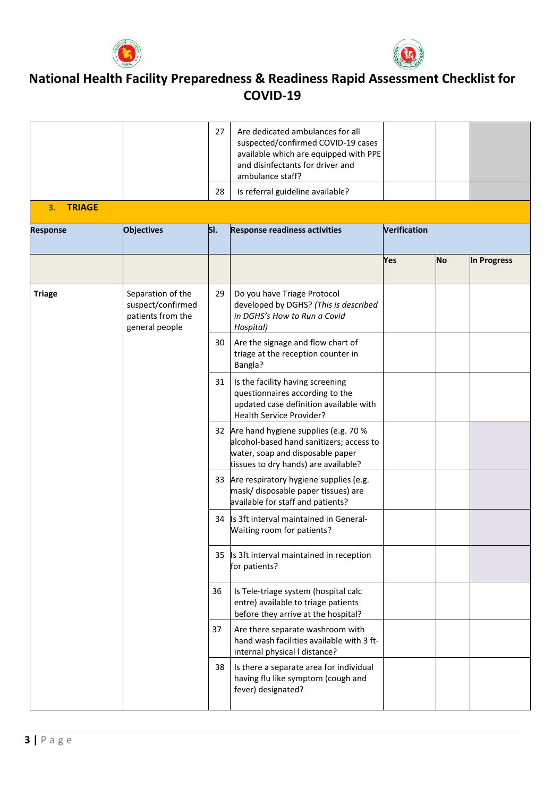



|                     |                                                                               | 27                                                                                                                                               | Are dedicated ambulances for all<br>suspected/confirmed COVID-19 cases<br>available which are equipped with PPE<br>and disinfectants for driver and<br>ambulance staff? |              |    |             |
|---------------------|-------------------------------------------------------------------------------|--------------------------------------------------------------------------------------------------------------------------------------------------|-------------------------------------------------------------------------------------------------------------------------------------------------------------------------|--------------|----|-------------|
|                     |                                                                               | 28                                                                                                                                               | Is referral guideline available?                                                                                                                                        |              |    |             |
| <b>TRIAGE</b><br>3. |                                                                               |                                                                                                                                                  |                                                                                                                                                                         |              |    |             |
| <b>Response</b>     | <b>Objectives</b>                                                             | SI.                                                                                                                                              | <b>Response readiness activities</b>                                                                                                                                    | Verification |    |             |
|                     |                                                                               |                                                                                                                                                  |                                                                                                                                                                         | Yes          | No | In Progress |
| <b>Triage</b>       | Separation of the<br>suspect/confirmed<br>patients from the<br>general people | 29                                                                                                                                               | Do you have Triage Protocol<br>developed by DGHS? (This is described<br>in DGHS's How to Run a Covid<br>Hospital)                                                       |              |    |             |
|                     |                                                                               | 30                                                                                                                                               | Are the signage and flow chart of<br>triage at the reception counter in<br>Bangla?                                                                                      |              |    |             |
|                     | 31                                                                            | Is the facility having screening<br>questionnaires according to the<br>updated case definition available with<br><b>Health Service Provider?</b> |                                                                                                                                                                         |              |    |             |
|                     |                                                                               |                                                                                                                                                  | 32 Are hand hygiene supplies (e.g. 70 %<br>alcohol-based hand sanitizers; access to<br>water, soap and disposable paper<br>tissues to dry hands) are available?         |              |    |             |
|                     |                                                                               |                                                                                                                                                  | 33 Are respiratory hygiene supplies (e.g.<br>mask/ disposable paper tissues) are<br>available for staff and patients?                                                   |              |    |             |
|                     |                                                                               |                                                                                                                                                  | 34 Is 3ft interval maintained in General-<br>Waiting room for patients?                                                                                                 |              |    |             |
|                     |                                                                               | 35                                                                                                                                               | Is 3ft interval maintained in reception<br>for patients?                                                                                                                |              |    |             |
|                     |                                                                               | 36                                                                                                                                               | Is Tele-triage system (hospital calc<br>entre) available to triage patients<br>before they arrive at the hospital?                                                      |              |    |             |
|                     |                                                                               | 37                                                                                                                                               | Are there separate washroom with<br>hand wash facilities available with 3 ft-<br>internal physical I distance?                                                          |              |    |             |
|                     |                                                                               | 38                                                                                                                                               | Is there a separate area for individual<br>having flu like symptom (cough and<br>fever) designated?                                                                     |              |    |             |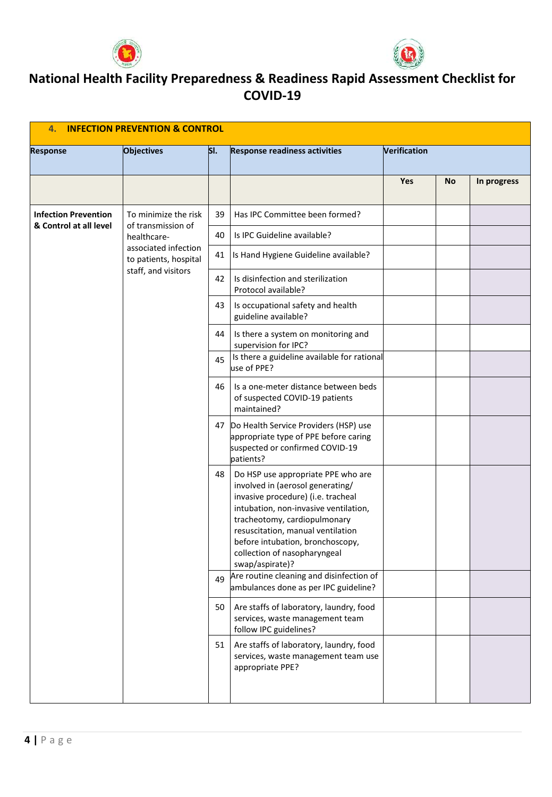



| <b>INFECTION PREVENTION &amp; CONTROL</b><br>4.       |                                               |                                                          |                                                                                                                                                                                                                                                                                                                   |              |           |             |
|-------------------------------------------------------|-----------------------------------------------|----------------------------------------------------------|-------------------------------------------------------------------------------------------------------------------------------------------------------------------------------------------------------------------------------------------------------------------------------------------------------------------|--------------|-----------|-------------|
| <b>Response</b>                                       | <b>Objectives</b>                             | SI.                                                      | <b>Response readiness activities</b>                                                                                                                                                                                                                                                                              | Verification |           |             |
|                                                       |                                               |                                                          |                                                                                                                                                                                                                                                                                                                   | Yes          | <b>No</b> | In progress |
| <b>Infection Prevention</b><br>& Control at all level | To minimize the risk                          | 39                                                       | Has IPC Committee been formed?                                                                                                                                                                                                                                                                                    |              |           |             |
|                                                       | of transmission of<br>healthcare-             | 40                                                       | Is IPC Guideline available?                                                                                                                                                                                                                                                                                       |              |           |             |
|                                                       | associated infection<br>to patients, hospital | 41                                                       | Is Hand Hygiene Guideline available?                                                                                                                                                                                                                                                                              |              |           |             |
| staff, and visitors                                   | 42                                            | Is disinfection and sterilization<br>Protocol available? |                                                                                                                                                                                                                                                                                                                   |              |           |             |
|                                                       |                                               | 43                                                       | Is occupational safety and health<br>guideline available?                                                                                                                                                                                                                                                         |              |           |             |
|                                                       |                                               | 44                                                       | Is there a system on monitoring and<br>supervision for IPC?                                                                                                                                                                                                                                                       |              |           |             |
|                                                       |                                               | 45                                                       | Is there a guideline available for rational<br>use of PPE?                                                                                                                                                                                                                                                        |              |           |             |
|                                                       |                                               | 46                                                       | Is a one-meter distance between beds<br>of suspected COVID-19 patients<br>maintained?                                                                                                                                                                                                                             |              |           |             |
|                                                       |                                               |                                                          | 47 Do Health Service Providers (HSP) use<br>appropriate type of PPE before caring<br>suspected or confirmed COVID-19<br>patients?                                                                                                                                                                                 |              |           |             |
|                                                       |                                               | 48                                                       | Do HSP use appropriate PPE who are<br>involved in (aerosol generating/<br>invasive procedure) (i.e. tracheal<br>intubation, non-invasive ventilation,<br>tracheotomy, cardiopulmonary<br>resuscitation, manual ventilation<br>before intubation, bronchoscopy,<br>collection of nasopharyngeal<br>swap/aspirate)? |              |           |             |
|                                                       |                                               |                                                          | 49 Are routine cleaning and disinfection of<br>ambulances done as per IPC guideline?                                                                                                                                                                                                                              |              |           |             |
|                                                       |                                               | 50                                                       | Are staffs of laboratory, laundry, food<br>services, waste management team<br>follow IPC guidelines?                                                                                                                                                                                                              |              |           |             |
|                                                       |                                               | 51                                                       | Are staffs of laboratory, laundry, food<br>services, waste management team use<br>appropriate PPE?                                                                                                                                                                                                                |              |           |             |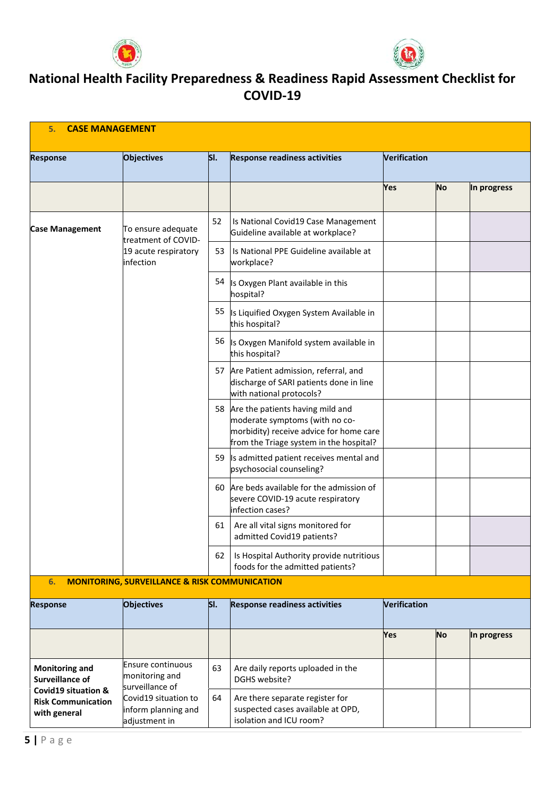



| <b>Response</b>                                                             | <b>Objectives</b>                                                              | SI. | <b>Response readiness activities</b>                                                                                                                        | Verification |           |             |
|-----------------------------------------------------------------------------|--------------------------------------------------------------------------------|-----|-------------------------------------------------------------------------------------------------------------------------------------------------------------|--------------|-----------|-------------|
|                                                                             |                                                                                |     |                                                                                                                                                             |              |           |             |
|                                                                             |                                                                                |     |                                                                                                                                                             | Yes          | No        | In progress |
| <b>Case Management</b>                                                      | To ensure adequate<br>treatment of COVID-<br>19 acute respiratory<br>infection | 52  | Is National Covid19 Case Management<br>Guideline available at workplace?                                                                                    |              |           |             |
|                                                                             |                                                                                | 53  | Is National PPE Guideline available at<br>workplace?                                                                                                        |              |           |             |
|                                                                             |                                                                                | 54  | Is Oxygen Plant available in this<br>hospital?                                                                                                              |              |           |             |
|                                                                             |                                                                                | 55  | Is Liquified Oxygen System Available in<br>this hospital?                                                                                                   |              |           |             |
|                                                                             |                                                                                | 56  | Is Oxygen Manifold system available in<br>this hospital?                                                                                                    |              |           |             |
|                                                                             |                                                                                |     | 57 Are Patient admission, referral, and<br>discharge of SARI patients done in line<br>with national protocols?                                              |              |           |             |
|                                                                             |                                                                                |     | 58 Are the patients having mild and<br>moderate symptoms (with no co-<br>morbidity) receive advice for home care<br>from the Triage system in the hospital? |              |           |             |
|                                                                             |                                                                                | 59  | Is admitted patient receives mental and<br>psychosocial counseling?                                                                                         |              |           |             |
|                                                                             |                                                                                | 60  | Are beds available for the admission of<br>severe COVID-19 acute respiratory<br>infection cases?                                                            |              |           |             |
|                                                                             |                                                                                | 61  | Are all vital signs monitored for<br>admitted Covid19 patients?                                                                                             |              |           |             |
|                                                                             |                                                                                | 62  | Is Hospital Authority provide nutritious<br>foods for the admitted patients?                                                                                |              |           |             |
| 6.                                                                          | <b>MONITORING, SURVEILLANCE &amp; RISK COMMUNICATION</b>                       |     |                                                                                                                                                             |              |           |             |
| <b>Response</b>                                                             | <b>Objectives</b>                                                              | SI. | <b>Response readiness activities</b>                                                                                                                        | Verification |           |             |
|                                                                             |                                                                                |     |                                                                                                                                                             | <b>Yes</b>   | <b>No</b> | In progress |
| <b>Monitoring and</b><br><b>Surveillance of</b>                             | <b>Ensure continuous</b><br>monitoring and<br>surveillance of                  | 63  | Are daily reports uploaded in the<br>DGHS website?                                                                                                          |              |           |             |
| <b>Covid19 situation &amp;</b><br><b>Risk Communication</b><br>with general | Covid19 situation to<br>inform planning and<br>adjustment in                   | 64  | Are there separate register for<br>suspected cases available at OPD,<br>isolation and ICU room?                                                             |              |           |             |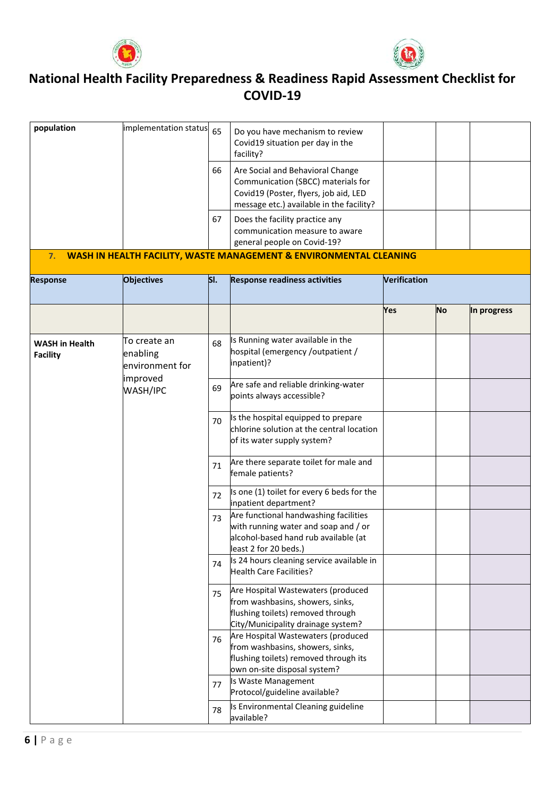



| population                               | implementation status 65                    |                                                                                                                 | Do you have mechanism to review<br>Covid19 situation per day in the<br>facility?                                                                            |              |                                                                                                                                                |             |  |  |
|------------------------------------------|---------------------------------------------|-----------------------------------------------------------------------------------------------------------------|-------------------------------------------------------------------------------------------------------------------------------------------------------------|--------------|------------------------------------------------------------------------------------------------------------------------------------------------|-------------|--|--|
|                                          |                                             | 66                                                                                                              | Are Social and Behavioral Change<br>Communication (SBCC) materials for<br>Covid19 (Poster, flyers, job aid, LED<br>message etc.) available in the facility? |              |                                                                                                                                                |             |  |  |
|                                          |                                             | 67                                                                                                              | Does the facility practice any<br>communication measure to aware<br>general people on Covid-19?                                                             |              |                                                                                                                                                |             |  |  |
| 7.                                       |                                             |                                                                                                                 | <b>WASH IN HEALTH FACILITY, WASTE MANAGEMENT &amp; ENVIRONMENTAL CLEANING</b>                                                                               |              |                                                                                                                                                |             |  |  |
| <b>Response</b>                          | <b>Objectives</b>                           | SI.                                                                                                             | <b>Response readiness activities</b>                                                                                                                        | Verification |                                                                                                                                                |             |  |  |
|                                          |                                             |                                                                                                                 |                                                                                                                                                             | Yes          | No                                                                                                                                             | In progress |  |  |
| <b>WASH in Health</b><br><b>Facility</b> | To create an<br>enabling<br>environment for | 68                                                                                                              | Is Running water available in the<br>hospital (emergency /outpatient /<br>inpatient)?                                                                       |              |                                                                                                                                                |             |  |  |
| improved<br>WASH/IPC                     | 69                                          | Are safe and reliable drinking-water<br>points always accessible?                                               |                                                                                                                                                             |              |                                                                                                                                                |             |  |  |
|                                          | 70                                          | Is the hospital equipped to prepare<br>chlorine solution at the central location<br>of its water supply system? |                                                                                                                                                             |              |                                                                                                                                                |             |  |  |
|                                          |                                             | 71                                                                                                              | Are there separate toilet for male and<br>female patients?                                                                                                  |              |                                                                                                                                                |             |  |  |
|                                          |                                             | 72                                                                                                              | Is one (1) toilet for every 6 beds for the<br>inpatient department?                                                                                         |              |                                                                                                                                                |             |  |  |
|                                          |                                             |                                                                                                                 |                                                                                                                                                             | 73           | Are functional handwashing facilities<br>with running water and soap and / or<br>alcohol-based hand rub available (at<br>least 2 for 20 beds.) |             |  |  |
|                                          |                                             | 74                                                                                                              | Is 24 hours cleaning service available in<br><b>Health Care Facilities?</b>                                                                                 |              |                                                                                                                                                |             |  |  |
|                                          |                                             | 75                                                                                                              | Are Hospital Wastewaters (produced<br>from washbasins, showers, sinks,<br>flushing toilets) removed through<br>City/Municipality drainage system?           |              |                                                                                                                                                |             |  |  |
|                                          |                                             | 76                                                                                                              | Are Hospital Wastewaters (produced<br>from washbasins, showers, sinks,<br>flushing toilets) removed through its<br>own on-site disposal system?             |              |                                                                                                                                                |             |  |  |
|                                          |                                             | 77                                                                                                              | Is Waste Management<br>Protocol/guideline available?                                                                                                        |              |                                                                                                                                                |             |  |  |
|                                          |                                             | 78                                                                                                              | Is Environmental Cleaning guideline<br>available?                                                                                                           |              |                                                                                                                                                |             |  |  |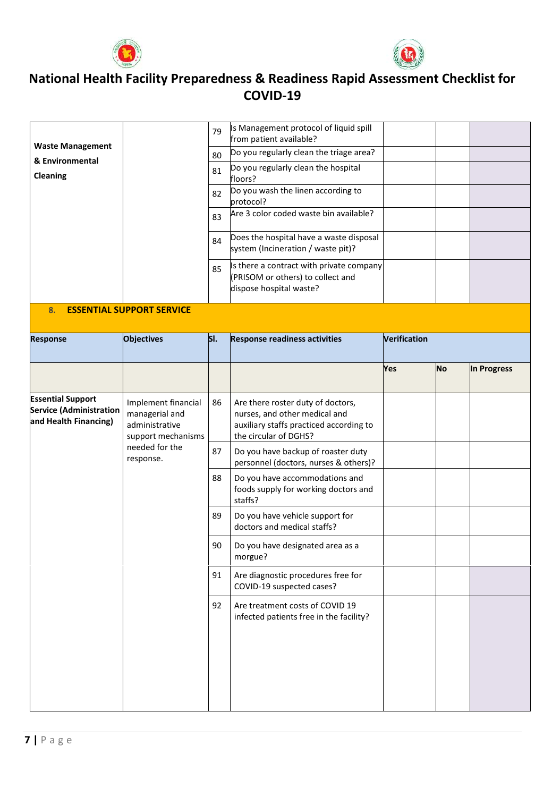



|                                                                                     |                                                                               | 79  | Is Management protocol of liquid spill<br>from patient available?                                                                      |              |           |             |
|-------------------------------------------------------------------------------------|-------------------------------------------------------------------------------|-----|----------------------------------------------------------------------------------------------------------------------------------------|--------------|-----------|-------------|
| <b>Waste Management</b>                                                             |                                                                               | 80  | Do you regularly clean the triage area?                                                                                                |              |           |             |
| & Environmental<br>Cleaning                                                         |                                                                               | 81  | Do you regularly clean the hospital<br>floors?                                                                                         |              |           |             |
|                                                                                     |                                                                               | 82  | Do you wash the linen according to<br>protocol?                                                                                        |              |           |             |
|                                                                                     |                                                                               | 83  | Are 3 color coded waste bin available?                                                                                                 |              |           |             |
|                                                                                     |                                                                               | 84  | Does the hospital have a waste disposal<br>system (Incineration / waste pit)?                                                          |              |           |             |
|                                                                                     |                                                                               | 85  | Is there a contract with private company<br>(PRISOM or others) to collect and<br>dispose hospital waste?                               |              |           |             |
| 8.                                                                                  | <b>ESSENTIAL SUPPORT SERVICE</b>                                              |     |                                                                                                                                        |              |           |             |
| <b>Response</b>                                                                     | <b>Objectives</b>                                                             | SI. | <b>Response readiness activities</b>                                                                                                   | Verification |           |             |
|                                                                                     |                                                                               |     |                                                                                                                                        | Yes          | <b>No</b> | In Progress |
| <b>Essential Support</b><br><b>Service (Administration</b><br>and Health Financing) | Implement financial<br>managerial and<br>administrative<br>support mechanisms | 86  | Are there roster duty of doctors,<br>nurses, and other medical and<br>auxiliary staffs practiced according to<br>the circular of DGHS? |              |           |             |
|                                                                                     | needed for the<br>response.                                                   | 87  | Do you have backup of roaster duty<br>personnel (doctors, nurses & others)?                                                            |              |           |             |
|                                                                                     |                                                                               | 88  | Do you have accommodations and<br>foods supply for working doctors and<br>staffs?                                                      |              |           |             |
|                                                                                     |                                                                               | 89  | Do you have vehicle support for<br>doctors and medical staffs?                                                                         |              |           |             |
|                                                                                     |                                                                               | 90  | Do you have designated area as a<br>morgue?                                                                                            |              |           |             |
|                                                                                     |                                                                               | 91  | Are diagnostic procedures free for<br>COVID-19 suspected cases?                                                                        |              |           |             |
|                                                                                     |                                                                               | 92  | Are treatment costs of COVID 19<br>infected patients free in the facility?                                                             |              |           |             |
|                                                                                     |                                                                               |     |                                                                                                                                        |              |           |             |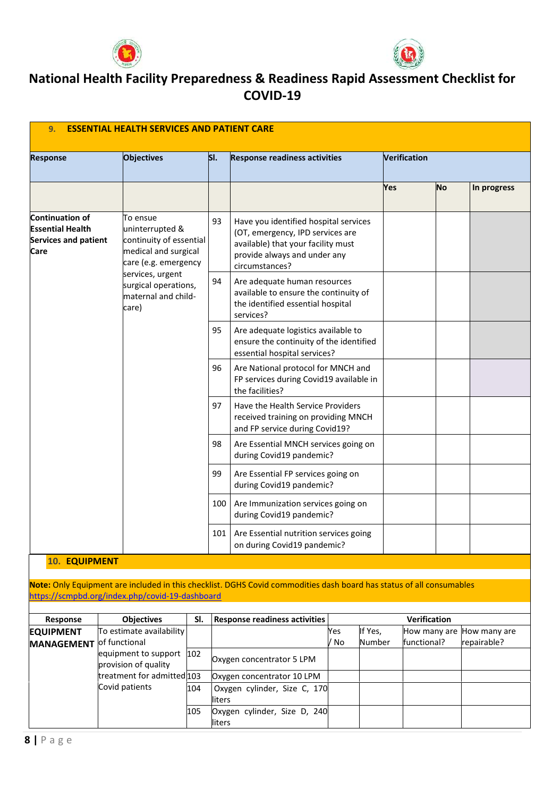



| 9.                                                                                | <b>ESSENTIAL HEALTH SERVICES AND PATIENT CARE</b> |                                                                                                                                                                        |     |                                                                                                                                                                   |      |                                                                                                            |     |                     |              |  |  |
|-----------------------------------------------------------------------------------|---------------------------------------------------|------------------------------------------------------------------------------------------------------------------------------------------------------------------------|-----|-------------------------------------------------------------------------------------------------------------------------------------------------------------------|------|------------------------------------------------------------------------------------------------------------|-----|---------------------|--------------|--|--|
| <b>Response</b>                                                                   | <b>Objectives</b>                                 |                                                                                                                                                                        | SI. | <b>Response readiness activities</b>                                                                                                                              |      |                                                                                                            |     | <b>Verification</b> |              |  |  |
|                                                                                   |                                                   |                                                                                                                                                                        |     |                                                                                                                                                                   |      |                                                                                                            | Yes | No                  | In progress  |  |  |
| <b>Continuation of</b><br><b>Essential Health</b><br>Services and patient<br>Care | To ensue                                          | uninterrupted &<br>continuity of essential<br>medical and surgical<br>care (e.g. emergency<br>services, urgent<br>surgical operations,<br>maternal and child-<br>care) | 93  | Have you identified hospital services<br>(OT, emergency, IPD services are<br>available) that your facility must<br>provide always and under any<br>circumstances? |      |                                                                                                            |     |                     |              |  |  |
|                                                                                   |                                                   |                                                                                                                                                                        | 94  | Are adequate human resources<br>available to ensure the continuity of<br>the identified essential hospital<br>services?                                           |      |                                                                                                            |     |                     |              |  |  |
|                                                                                   |                                                   |                                                                                                                                                                        | 95  | Are adequate logistics available to<br>ensure the continuity of the identified<br>essential hospital services?                                                    |      |                                                                                                            |     |                     |              |  |  |
|                                                                                   |                                                   |                                                                                                                                                                        | 96  | Are National protocol for MNCH and<br>FP services during Covid19 available in<br>the facilities?                                                                  |      |                                                                                                            |     |                     |              |  |  |
|                                                                                   |                                                   |                                                                                                                                                                        |     |                                                                                                                                                                   |      | Have the Health Service Providers<br>received training on providing MNCH<br>and FP service during Covid19? |     |                     |              |  |  |
|                                                                                   |                                                   |                                                                                                                                                                        | 98  | Are Essential MNCH services going on<br>during Covid19 pandemic?                                                                                                  |      |                                                                                                            |     |                     |              |  |  |
|                                                                                   |                                                   |                                                                                                                                                                        | 99  | Are Essential FP services going on<br>during Covid19 pandemic?                                                                                                    |      |                                                                                                            |     |                     |              |  |  |
|                                                                                   |                                                   |                                                                                                                                                                        | 100 | Are Immunization services going on<br>during Covid19 pandemic?                                                                                                    |      |                                                                                                            |     |                     |              |  |  |
|                                                                                   |                                                   |                                                                                                                                                                        | 101 | Are Essential nutrition services going<br>on during Covid19 pandemic?                                                                                             |      |                                                                                                            |     |                     |              |  |  |
| <b>10. EQUIPMENT</b>                                                              |                                                   |                                                                                                                                                                        |     |                                                                                                                                                                   |      |                                                                                                            |     |                     |              |  |  |
|                                                                                   |                                                   |                                                                                                                                                                        |     | Note: Only Equipment are included in this checklist. DGHS Covid commodities dash board has status of all consumables                                              |      |                                                                                                            |     |                     |              |  |  |
|                                                                                   | https://scmpbd.org/index.php/covid-19-dashboard   |                                                                                                                                                                        |     |                                                                                                                                                                   |      |                                                                                                            |     |                     |              |  |  |
| Response                                                                          | <b>Objectives</b>                                 | SI.                                                                                                                                                                    |     | <b>Response readiness activities</b>                                                                                                                              |      |                                                                                                            |     | Verification        |              |  |  |
| <b>EQUIPMENT</b>                                                                  | To estimate availability                          |                                                                                                                                                                        |     |                                                                                                                                                                   | Yes  | If Yes,                                                                                                    |     | How many are        | How many are |  |  |
| <b>MANAGEMENT</b>                                                                 | of functional                                     |                                                                                                                                                                        |     |                                                                                                                                                                   | / No | Number                                                                                                     |     | functional?         | repairable?  |  |  |
|                                                                                   | equipment to support                              | 102                                                                                                                                                                    |     | Oxygen concentrator 5 LPM                                                                                                                                         |      |                                                                                                            |     |                     |              |  |  |

Oxygen concentrator 10 LPM 104 Oxygen cylinder, Size C, 170

105 Oxygen cylinder, Size D, 240

liters

liters

provision of quality treatment for admitted 103

Covid patients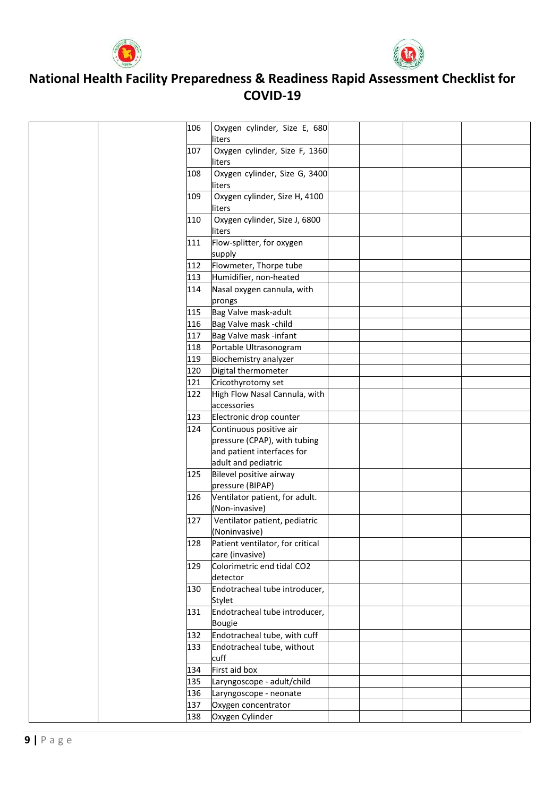



|  | 106 | Oxygen cylinder, Size E, 680<br>liters  |  |  |
|--|-----|-----------------------------------------|--|--|
|  | 107 | Oxygen cylinder, Size F, 1360           |  |  |
|  |     | liters                                  |  |  |
|  | 108 | Oxygen cylinder, Size G, 3400<br>liters |  |  |
|  | 109 | Oxygen cylinder, Size H, 4100           |  |  |
|  |     | liters                                  |  |  |
|  | 110 | Oxygen cylinder, Size J, 6800           |  |  |
|  |     | liters                                  |  |  |
|  | 111 | Flow-splitter, for oxygen               |  |  |
|  |     | supply                                  |  |  |
|  | 112 | Flowmeter, Thorpe tube                  |  |  |
|  | 113 | Humidifier, non-heated                  |  |  |
|  | 114 | Nasal oxygen cannula, with              |  |  |
|  |     | prongs                                  |  |  |
|  | 115 | Bag Valve mask-adult                    |  |  |
|  | 116 | Bag Valve mask -child                   |  |  |
|  | 117 | Bag Valve mask -infant                  |  |  |
|  | 118 | Portable Ultrasonogram                  |  |  |
|  | 119 | Biochemistry analyzer                   |  |  |
|  | 120 | Digital thermometer                     |  |  |
|  | 121 | Cricothyrotomy set                      |  |  |
|  | 122 | High Flow Nasal Cannula, with           |  |  |
|  |     | accessories                             |  |  |
|  | 123 | Electronic drop counter                 |  |  |
|  | 124 | Continuous positive air                 |  |  |
|  |     | pressure (CPAP), with tubing            |  |  |
|  |     | and patient interfaces for              |  |  |
|  |     | adult and pediatric                     |  |  |
|  | 125 | Bilevel positive airway                 |  |  |
|  |     | pressure (BIPAP)                        |  |  |
|  | 126 | Ventilator patient, for adult.          |  |  |
|  |     | (Non-invasive)                          |  |  |
|  | 127 | Ventilator patient, pediatric           |  |  |
|  |     | (Noninvasive)                           |  |  |
|  | 128 | Patient ventilator, for critical        |  |  |
|  |     | care (invasive)                         |  |  |
|  | 129 | Colorimetric end tidal CO2              |  |  |
|  |     | detector                                |  |  |
|  | 130 | Endotracheal tube introducer,           |  |  |
|  |     | Stylet                                  |  |  |
|  | 131 | Endotracheal tube introducer,           |  |  |
|  |     | <b>Bougie</b>                           |  |  |
|  | 132 | Endotracheal tube, with cuff            |  |  |
|  | 133 | Endotracheal tube, without<br>cuff      |  |  |
|  | 134 | First aid box                           |  |  |
|  | 135 | Laryngoscope - adult/child              |  |  |
|  | 136 | Laryngoscope - neonate                  |  |  |
|  | 137 |                                         |  |  |
|  |     | Oxygen concentrator                     |  |  |
|  | 138 | Oxygen Cylinder                         |  |  |